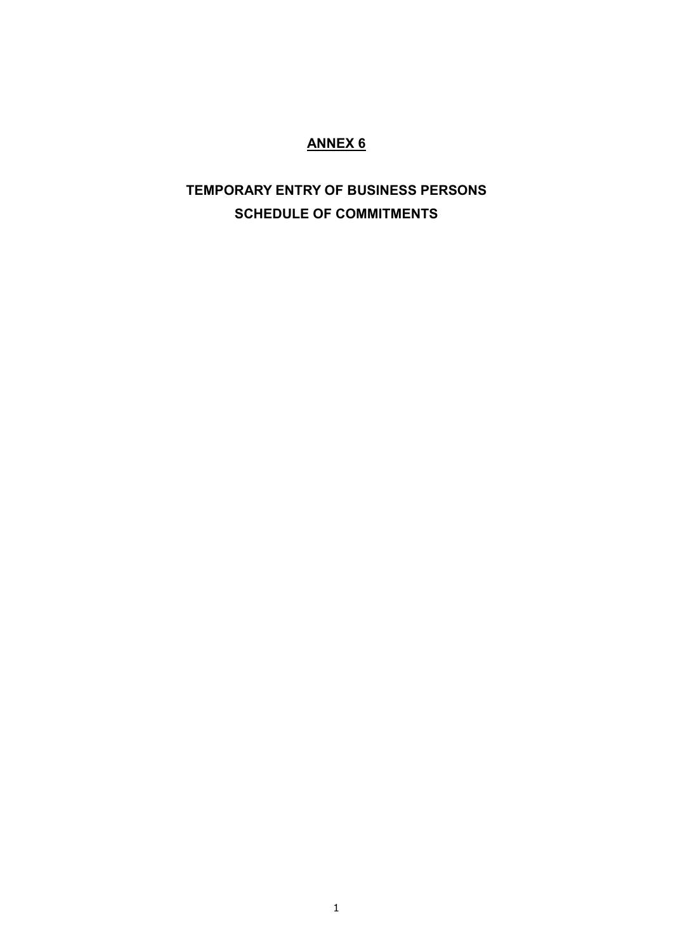## **ANNEX 6**

## **TEMPORARY ENTRY OF BUSINESS PERSONS SCHEDULE OF COMMITMENTS**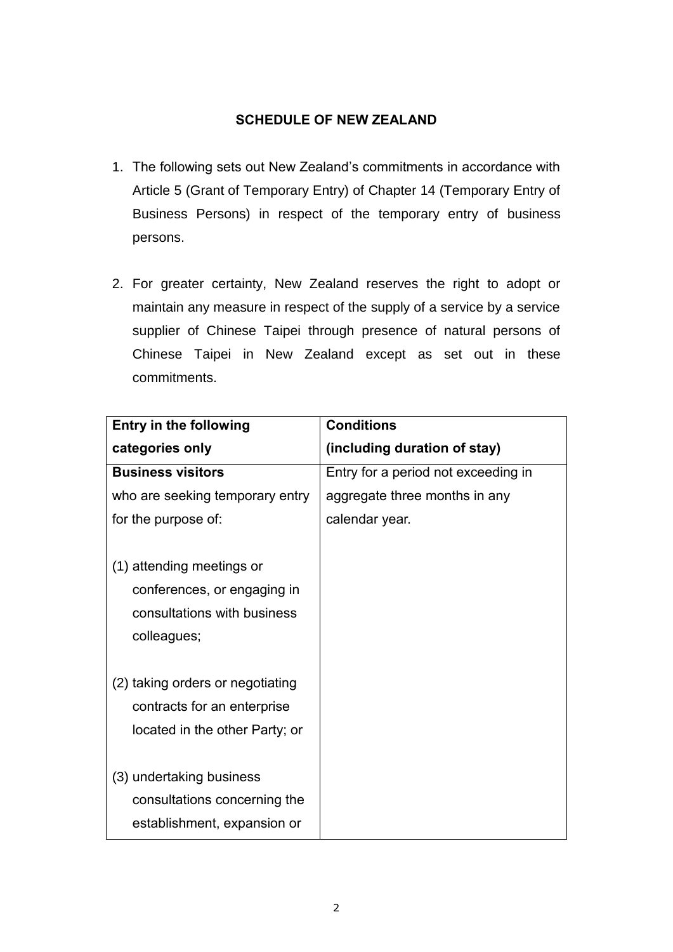## **SCHEDULE OF NEW ZEALAND**

- 1. The following sets out New Zealand's commitments in accordance with Article 5 (Grant of Temporary Entry) of Chapter 14 (Temporary Entry of Business Persons) in respect of the temporary entry of business persons.
- 2. For greater certainty, New Zealand reserves the right to adopt or maintain any measure in respect of the supply of a service by a service supplier of Chinese Taipei through presence of natural persons of Chinese Taipei in New Zealand except as set out in these commitments.

| <b>Entry in the following</b>    | <b>Conditions</b>                   |
|----------------------------------|-------------------------------------|
| categories only                  | (including duration of stay)        |
| <b>Business visitors</b>         | Entry for a period not exceeding in |
| who are seeking temporary entry  | aggregate three months in any       |
| for the purpose of:              | calendar year.                      |
|                                  |                                     |
| (1) attending meetings or        |                                     |
| conferences, or engaging in      |                                     |
| consultations with business      |                                     |
| colleagues;                      |                                     |
|                                  |                                     |
| (2) taking orders or negotiating |                                     |
| contracts for an enterprise      |                                     |
| located in the other Party; or   |                                     |
|                                  |                                     |
| (3) undertaking business         |                                     |
| consultations concerning the     |                                     |
| establishment, expansion or      |                                     |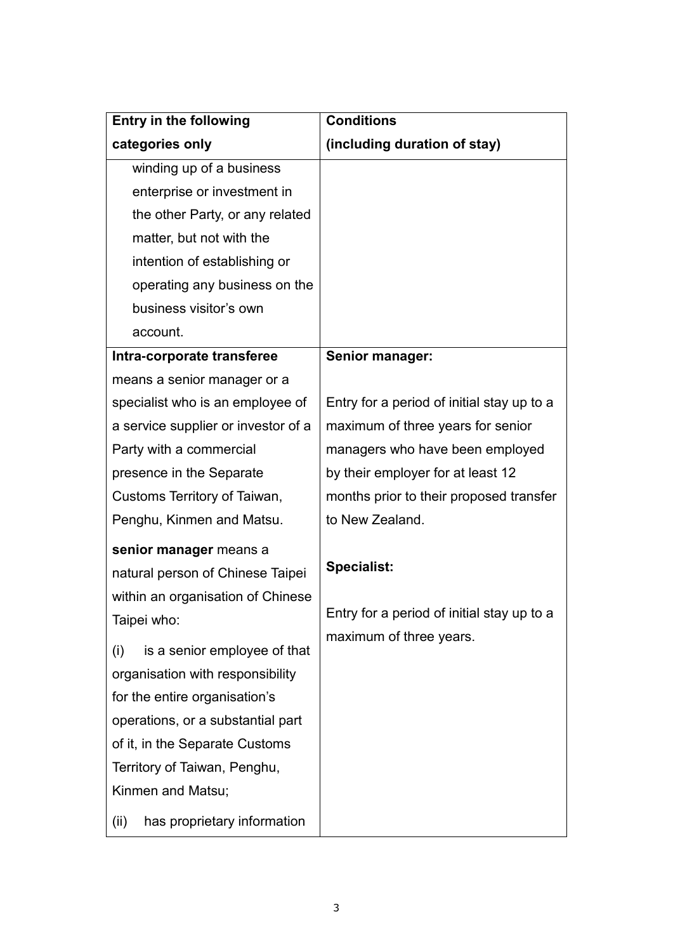| <b>Entry in the following</b>       | <b>Conditions</b>                          |
|-------------------------------------|--------------------------------------------|
| categories only                     | (including duration of stay)               |
| winding up of a business            |                                            |
| enterprise or investment in         |                                            |
| the other Party, or any related     |                                            |
| matter, but not with the            |                                            |
| intention of establishing or        |                                            |
| operating any business on the       |                                            |
| business visitor's own              |                                            |
| account.                            |                                            |
| Intra-corporate transferee          | Senior manager:                            |
| means a senior manager or a         |                                            |
| specialist who is an employee of    | Entry for a period of initial stay up to a |
| a service supplier or investor of a | maximum of three years for senior          |
| Party with a commercial             | managers who have been employed            |
| presence in the Separate            | by their employer for at least 12          |
| Customs Territory of Taiwan,        | months prior to their proposed transfer    |
| Penghu, Kinmen and Matsu.           | to New Zealand.                            |
| senior manager means a              |                                            |
| natural person of Chinese Taipei    | <b>Specialist:</b>                         |
| within an organisation of Chinese   |                                            |
| Taipei who:                         | Entry for a period of initial stay up to a |
| is a senior employee of that<br>(i) | maximum of three years.                    |
| organisation with responsibility    |                                            |
| for the entire organisation's       |                                            |
| operations, or a substantial part   |                                            |
| of it, in the Separate Customs      |                                            |
| Territory of Taiwan, Penghu,        |                                            |
| Kinmen and Matsu;                   |                                            |
|                                     |                                            |
| has proprietary information<br>(ii) |                                            |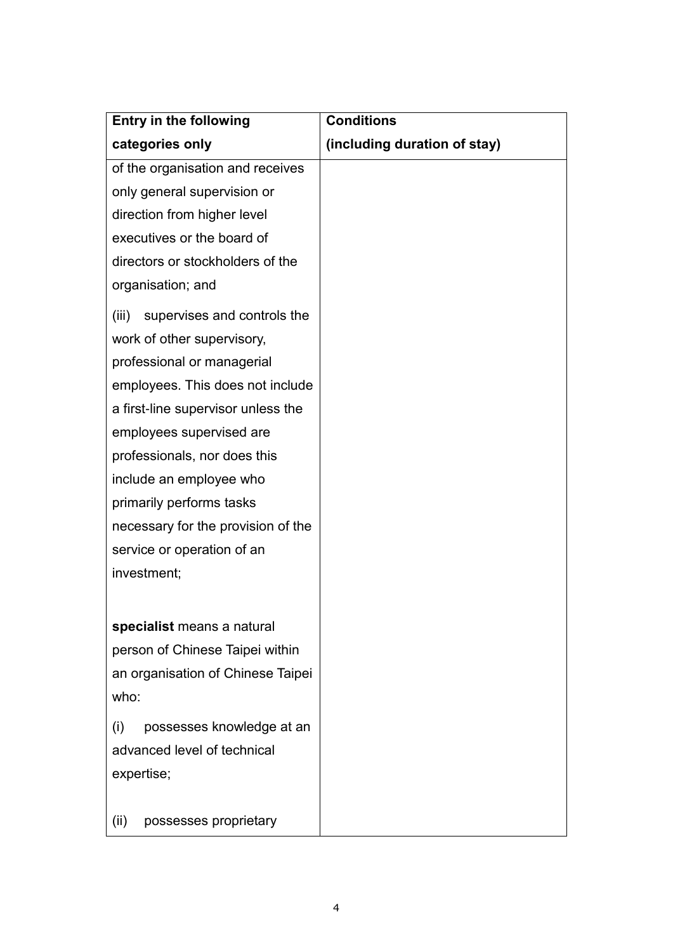| <b>Entry in the following</b>        | <b>Conditions</b>            |
|--------------------------------------|------------------------------|
| categories only                      | (including duration of stay) |
| of the organisation and receives     |                              |
| only general supervision or          |                              |
| direction from higher level          |                              |
| executives or the board of           |                              |
| directors or stockholders of the     |                              |
| organisation; and                    |                              |
| supervises and controls the<br>(iii) |                              |
| work of other supervisory,           |                              |
| professional or managerial           |                              |
| employees. This does not include     |                              |
| a first-line supervisor unless the   |                              |
| employees supervised are             |                              |
| professionals, nor does this         |                              |
| include an employee who              |                              |
| primarily performs tasks             |                              |
| necessary for the provision of the   |                              |
| service or operation of an           |                              |
| investment;                          |                              |
|                                      |                              |
| specialist means a natural           |                              |
| person of Chinese Taipei within      |                              |
| an organisation of Chinese Taipei    |                              |
| who:                                 |                              |
| possesses knowledge at an<br>(i)     |                              |
| advanced level of technical          |                              |
| expertise;                           |                              |
|                                      |                              |
| possesses proprietary<br>(ii)        |                              |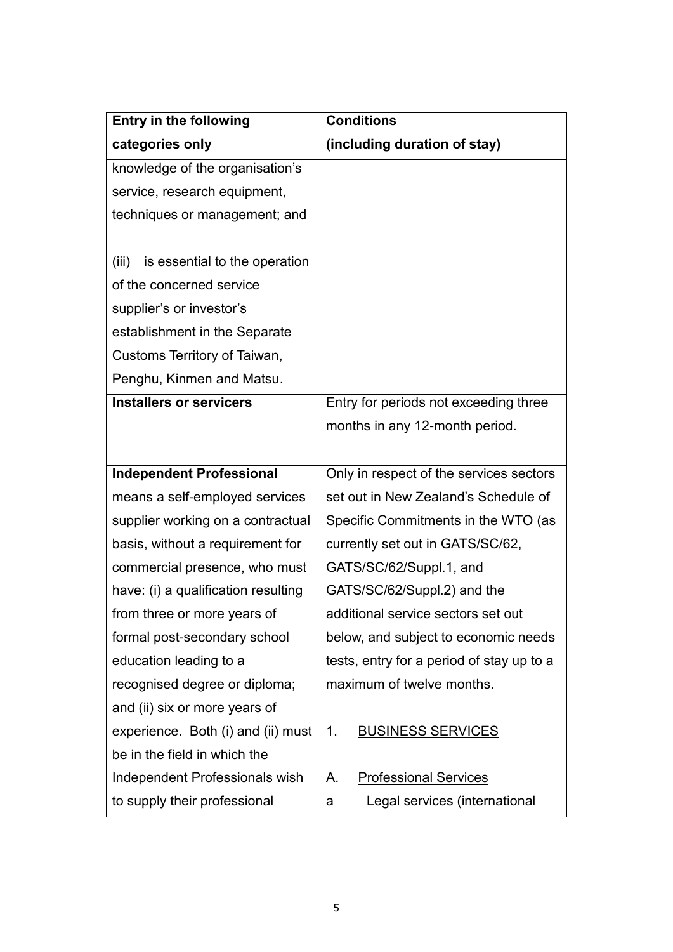| <b>Entry in the following</b>          | <b>Conditions</b>                         |
|----------------------------------------|-------------------------------------------|
| categories only                        | (including duration of stay)              |
| knowledge of the organisation's        |                                           |
| service, research equipment,           |                                           |
| techniques or management; and          |                                           |
|                                        |                                           |
| is essential to the operation<br>(iii) |                                           |
| of the concerned service               |                                           |
| supplier's or investor's               |                                           |
| establishment in the Separate          |                                           |
| Customs Territory of Taiwan,           |                                           |
| Penghu, Kinmen and Matsu.              |                                           |
| <b>Installers or servicers</b>         | Entry for periods not exceeding three     |
|                                        | months in any 12-month period.            |
|                                        |                                           |
| <b>Independent Professional</b>        | Only in respect of the services sectors   |
| means a self-employed services         | set out in New Zealand's Schedule of      |
| supplier working on a contractual      | Specific Commitments in the WTO (as       |
| basis, without a requirement for       | currently set out in GATS/SC/62,          |
| commercial presence, who must          | GATS/SC/62/Suppl.1, and                   |
| have: (i) a qualification resulting    | GATS/SC/62/Suppl.2) and the               |
| from three or more years of            | additional service sectors set out        |
| formal post-secondary school           | below, and subject to economic needs      |
| education leading to a                 | tests, entry for a period of stay up to a |
| recognised degree or diploma;          | maximum of twelve months.                 |
| and (ii) six or more years of          |                                           |
| experience. Both (i) and (ii) must     | <b>BUSINESS SERVICES</b><br>1.            |
| be in the field in which the           |                                           |
| Independent Professionals wish         | <b>Professional Services</b><br>А.        |
| to supply their professional           | Legal services (international<br>a        |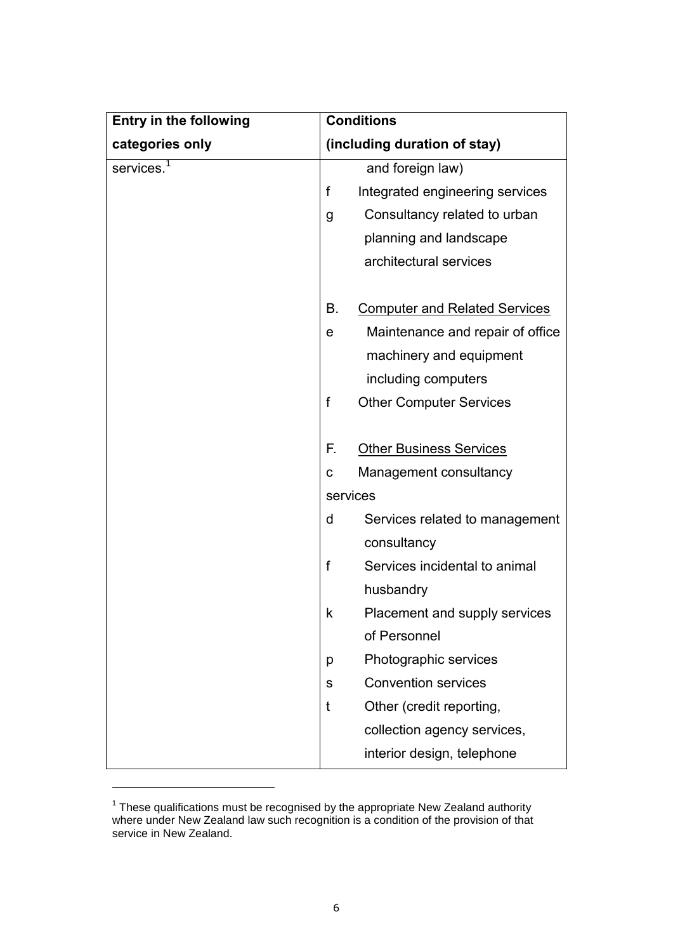| <b>Entry in the following</b> | <b>Conditions</b>                               |  |
|-------------------------------|-------------------------------------------------|--|
| categories only               | (including duration of stay)                    |  |
| services.                     | and foreign law)                                |  |
|                               | $\mathsf{f}$<br>Integrated engineering services |  |
|                               | Consultancy related to urban<br>$\mathsf{g}$    |  |
|                               | planning and landscape                          |  |
|                               | architectural services                          |  |
|                               | В.<br><b>Computer and Related Services</b>      |  |
|                               | Maintenance and repair of office<br>е           |  |
|                               | machinery and equipment                         |  |
|                               | including computers                             |  |
|                               | $\mathsf f$<br><b>Other Computer Services</b>   |  |
|                               |                                                 |  |
|                               | F.<br><b>Other Business Services</b>            |  |
|                               | Management consultancy<br>$\mathbf C$           |  |
|                               | services                                        |  |
|                               | Services related to management<br>d             |  |
|                               | consultancy                                     |  |
|                               | $\mathsf{f}$<br>Services incidental to animal   |  |
|                               | husbandry                                       |  |
|                               | k<br>Placement and supply services              |  |
|                               | of Personnel                                    |  |
|                               | Photographic services<br>р                      |  |
|                               | <b>Convention services</b><br>$\mathbf s$       |  |
|                               | Other (credit reporting,<br>t                   |  |
|                               | collection agency services,                     |  |
|                               | interior design, telephone                      |  |

 $1$  These qualifications must be recognised by the appropriate New Zealand authority where under New Zealand law such recognition is a condition of the provision of that service in New Zealand.

 $\overline{a}$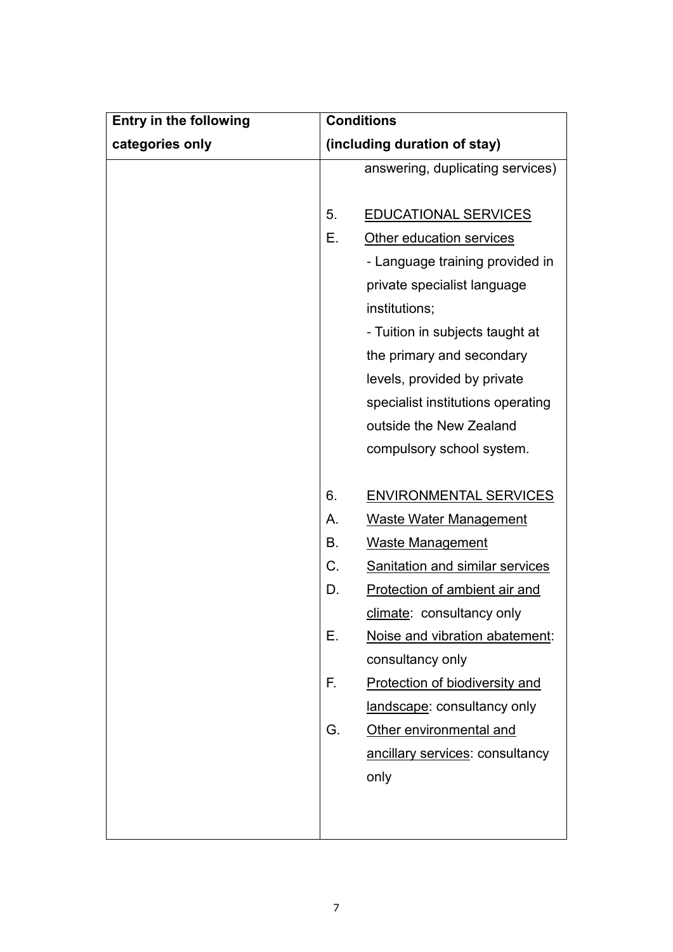| <b>Entry in the following</b> |    | <b>Conditions</b>                      |
|-------------------------------|----|----------------------------------------|
| categories only               |    | (including duration of stay)           |
|                               |    | answering, duplicating services)       |
|                               |    |                                        |
|                               | 5. | <b>EDUCATIONAL SERVICES</b>            |
|                               | Е. | Other education services               |
|                               |    | - Language training provided in        |
|                               |    | private specialist language            |
|                               |    | institutions;                          |
|                               |    | - Tuition in subjects taught at        |
|                               |    | the primary and secondary              |
|                               |    | levels, provided by private            |
|                               |    | specialist institutions operating      |
|                               |    | outside the New Zealand                |
|                               |    | compulsory school system.              |
|                               |    |                                        |
|                               | 6. | <b>ENVIRONMENTAL SERVICES</b>          |
|                               | Α. | <b>Waste Water Management</b>          |
|                               | Β. | <b>Waste Management</b>                |
|                               | C. | <b>Sanitation and similar services</b> |
|                               | D. | Protection of ambient air and          |
|                               |    | climate: consultancy only              |
|                               | Е. | Noise and vibration abatement:         |
|                               |    | consultancy only                       |
|                               | F. | Protection of biodiversity and         |
|                               |    | landscape: consultancy only            |
|                               | G. | Other environmental and                |
|                               |    | ancillary services: consultancy        |
|                               |    | only                                   |
|                               |    |                                        |
|                               |    |                                        |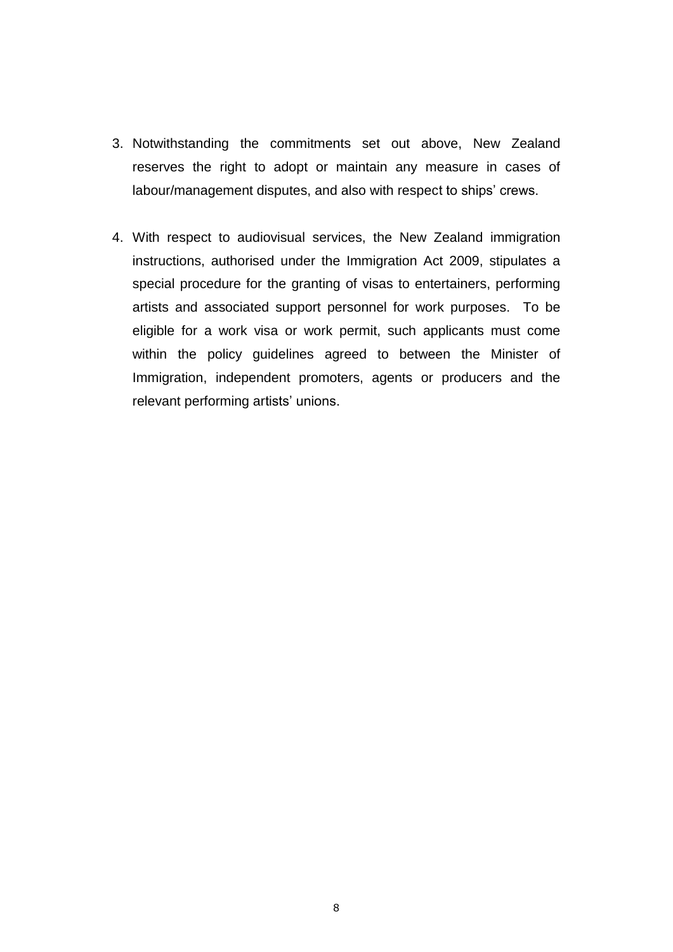- 3. Notwithstanding the commitments set out above, New Zealand reserves the right to adopt or maintain any measure in cases of labour/management disputes, and also with respect to ships' crews.
- 4. With respect to audiovisual services, the New Zealand immigration instructions, authorised under the Immigration Act 2009, stipulates a special procedure for the granting of visas to entertainers, performing artists and associated support personnel for work purposes. To be eligible for a work visa or work permit, such applicants must come within the policy guidelines agreed to between the Minister of Immigration, independent promoters, agents or producers and the relevant performing artists' unions.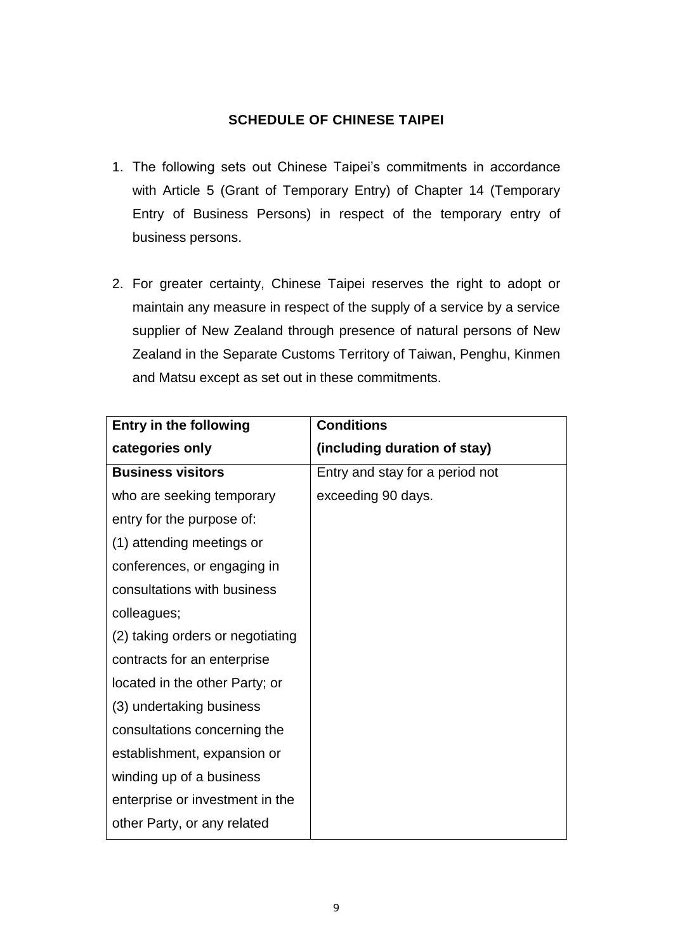## **SCHEDULE OF CHINESE TAIPEI**

- 1. The following sets out Chinese Taipei's commitments in accordance with Article 5 (Grant of Temporary Entry) of Chapter 14 (Temporary Entry of Business Persons) in respect of the temporary entry of business persons.
- 2. For greater certainty, Chinese Taipei reserves the right to adopt or maintain any measure in respect of the supply of a service by a service supplier of New Zealand through presence of natural persons of New Zealand in the Separate Customs Territory of Taiwan, Penghu, Kinmen and Matsu except as set out in these commitments.

| <b>Entry in the following</b>    | <b>Conditions</b>               |
|----------------------------------|---------------------------------|
| categories only                  | (including duration of stay)    |
| <b>Business visitors</b>         | Entry and stay for a period not |
| who are seeking temporary        | exceeding 90 days.              |
| entry for the purpose of:        |                                 |
| (1) attending meetings or        |                                 |
| conferences, or engaging in      |                                 |
| consultations with business      |                                 |
| colleagues;                      |                                 |
| (2) taking orders or negotiating |                                 |
| contracts for an enterprise      |                                 |
| located in the other Party; or   |                                 |
| (3) undertaking business         |                                 |
| consultations concerning the     |                                 |
| establishment, expansion or      |                                 |
| winding up of a business         |                                 |
| enterprise or investment in the  |                                 |
| other Party, or any related      |                                 |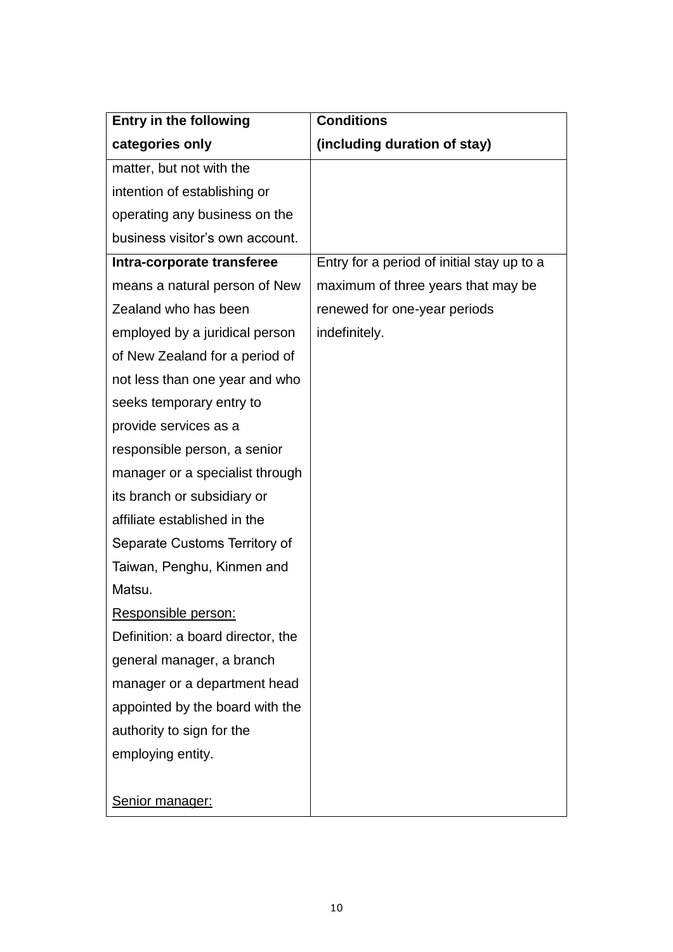| <b>Entry in the following</b>     | <b>Conditions</b>                          |
|-----------------------------------|--------------------------------------------|
| categories only                   | (including duration of stay)               |
| matter, but not with the          |                                            |
| intention of establishing or      |                                            |
| operating any business on the     |                                            |
| business visitor's own account.   |                                            |
| Intra-corporate transferee        | Entry for a period of initial stay up to a |
| means a natural person of New     | maximum of three years that may be         |
| Zealand who has been              | renewed for one-year periods               |
| employed by a juridical person    | indefinitely.                              |
| of New Zealand for a period of    |                                            |
| not less than one year and who    |                                            |
| seeks temporary entry to          |                                            |
| provide services as a             |                                            |
| responsible person, a senior      |                                            |
| manager or a specialist through   |                                            |
| its branch or subsidiary or       |                                            |
| affiliate established in the      |                                            |
| Separate Customs Territory of     |                                            |
| Taiwan, Penghu, Kinmen and        |                                            |
| Matsu.                            |                                            |
| <u>Responsible person:</u>        |                                            |
| Definition: a board director, the |                                            |
| general manager, a branch         |                                            |
| manager or a department head      |                                            |
| appointed by the board with the   |                                            |
| authority to sign for the         |                                            |
| employing entity.                 |                                            |
|                                   |                                            |
| Senior manager:                   |                                            |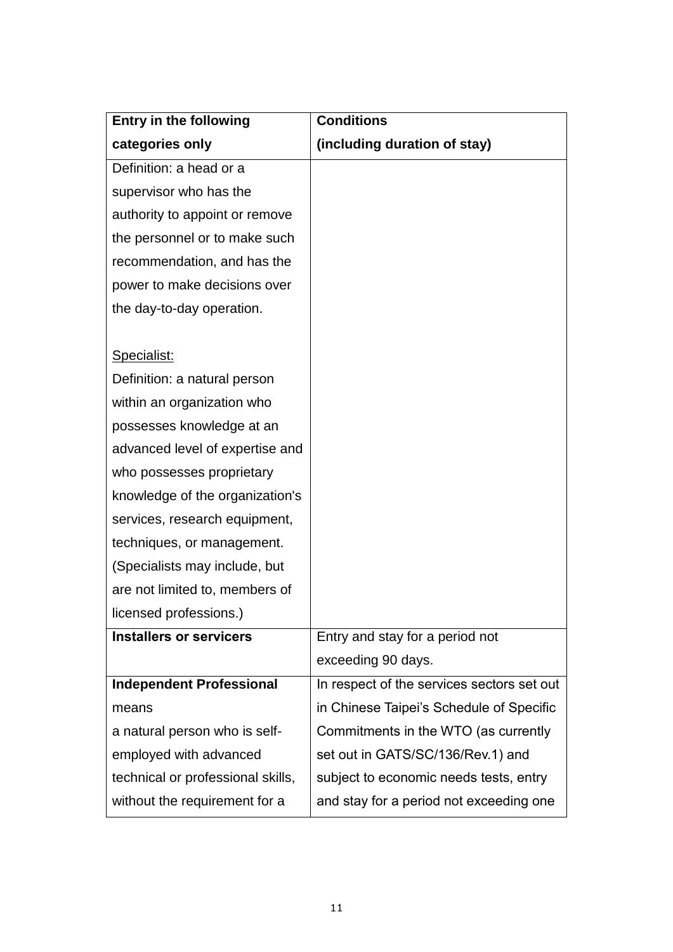| <b>Entry in the following</b>     | <b>Conditions</b>                          |
|-----------------------------------|--------------------------------------------|
| categories only                   | (including duration of stay)               |
| Definition: a head or a           |                                            |
| supervisor who has the            |                                            |
| authority to appoint or remove    |                                            |
| the personnel or to make such     |                                            |
| recommendation, and has the       |                                            |
| power to make decisions over      |                                            |
| the day-to-day operation.         |                                            |
|                                   |                                            |
| Specialist:                       |                                            |
| Definition: a natural person      |                                            |
| within an organization who        |                                            |
| possesses knowledge at an         |                                            |
| advanced level of expertise and   |                                            |
| who possesses proprietary         |                                            |
| knowledge of the organization's   |                                            |
| services, research equipment,     |                                            |
| techniques, or management.        |                                            |
| (Specialists may include, but     |                                            |
| are not limited to, members of    |                                            |
| licensed professions.)            |                                            |
| <b>Installers or servicers</b>    | Entry and stay for a period not            |
|                                   | exceeding 90 days.                         |
| <b>Independent Professional</b>   | In respect of the services sectors set out |
| means                             | in Chinese Taipei's Schedule of Specific   |
| a natural person who is self-     | Commitments in the WTO (as currently       |
| employed with advanced            | set out in GATS/SC/136/Rev.1) and          |
| technical or professional skills, | subject to economic needs tests, entry     |
| without the requirement for a     | and stay for a period not exceeding one    |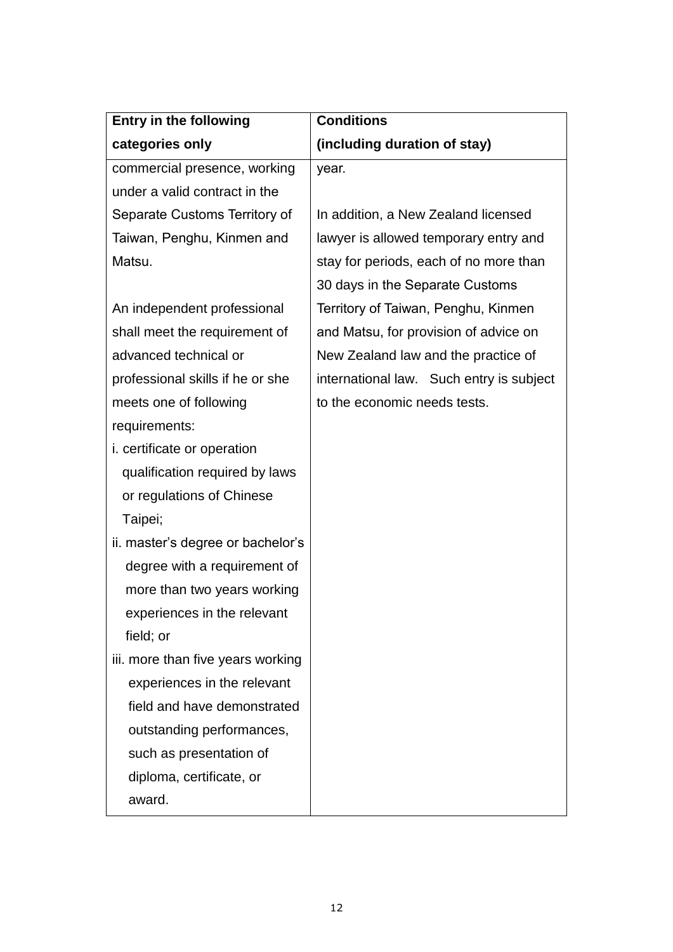| <b>Entry in the following</b>      | <b>Conditions</b>                        |
|------------------------------------|------------------------------------------|
| categories only                    | (including duration of stay)             |
| commercial presence, working       | year.                                    |
| under a valid contract in the      |                                          |
| Separate Customs Territory of      | In addition, a New Zealand licensed      |
| Taiwan, Penghu, Kinmen and         | lawyer is allowed temporary entry and    |
| Matsu.                             | stay for periods, each of no more than   |
|                                    | 30 days in the Separate Customs          |
| An independent professional        | Territory of Taiwan, Penghu, Kinmen      |
| shall meet the requirement of      | and Matsu, for provision of advice on    |
| advanced technical or              | New Zealand law and the practice of      |
| professional skills if he or she   | international law. Such entry is subject |
| meets one of following             | to the economic needs tests.             |
| requirements:                      |                                          |
| <i>i.</i> certificate or operation |                                          |
| qualification required by laws     |                                          |
| or regulations of Chinese          |                                          |
| Taipei;                            |                                          |
| ii. master's degree or bachelor's  |                                          |
| degree with a requirement of       |                                          |
| more than two years working        |                                          |
| experiences in the relevant        |                                          |
| field; or                          |                                          |
| iii. more than five years working  |                                          |
| experiences in the relevant        |                                          |
| field and have demonstrated        |                                          |
| outstanding performances,          |                                          |
| such as presentation of            |                                          |
| diploma, certificate, or           |                                          |
| award.                             |                                          |
|                                    |                                          |